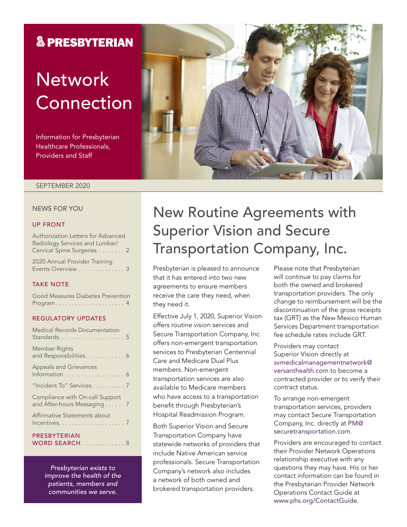## **& PRESBYTERIAN**

# **Network** Connection

Information for Presbyterian Healthcare Professionals, Providers and Staff

#### SEPTEMBER 2020

#### NEWS FOR YOU

#### UP FRONT

Authorization Letters for Advanced Radiology Services and Lumbar/ Cervical Spine Surgeries . . . . . . . . 2

2020 Annual Provider Training Events Overview . . . . . . . . . . . . . 3

#### TAKE NOTE

Good Measures Diabetes Prevention Program . . . . . . . . . . . . . . . . . . . . . 4

#### REGULATORY UPDATES

| <b>Medical Records Documentation</b>                           |
|----------------------------------------------------------------|
| Member Rights<br>and Responsibilities. 6                       |
| <b>Appeals and Grievances</b><br>Information  6                |
| "Incident To" Services 7                                       |
| Compliance with On-call Support<br>and After-hours Messaging 7 |
| Affirmative Statements about                                   |
| PRESBYTERIAN<br>WORD SEARCH8                                   |

*Presbyterian exists to improve the health of the patients, members and communities we serve.*

# New Routine Agreements with Superior Vision and Secure Transportation Company, Inc.

Presbyterian is pleased to announce that it has entered into two new agreements to ensure members receive the care they need, when they need it.

Effective July 1, 2020, Superior Vision offers routine vision services and Secure Transportation Company, Inc. offers non-emergent transportation services to Presbyterian Centennial Care and Medicare Dual Plus members. Non-emergent transportation services are also available to Medicare members who have access to a transportation benefit through Presbyterian's Hospital Readmission Program.

Both Superior Vision and Secure Transportation Company have statewide networks of providers that include Native American service professionals. Secure Transportation Company's network also includes a network of both owned and brokered transportation providers.

Please note that Presbyterian will continue to pay claims for both the owned and brokered transportation providers. The only change to reimbursement will be the discontinuation of the gross receipts tax (GRT) as the New Mexico Human Services Department transportation fee schedule rates include GRT.

Providers may contact Superior Vision directly at [svmedicalmanagementnetwork@](mailto:svmedicalmanagementnetwork@versanthealth.com) [versanthealth.com](mailto:svmedicalmanagementnetwork@versanthealth.com) to become a contracted provider or to verify their contract status.

To arrange non-emergent transportation services, providers may contact Secure Transportation Company, Inc. directly at [PM@](mailto:PM@securetransportation.com) [securetransportation.com](mailto:PM@securetransportation.com).

Providers are encouraged to contact their Provider Network Operations relationship executive with any questions they may have. His or her contact information can be found in the Presbyterian Provider Network Operations Contact Guide at [www.phs.org/ContactGuide](http://www.phs.org/ContactGuide).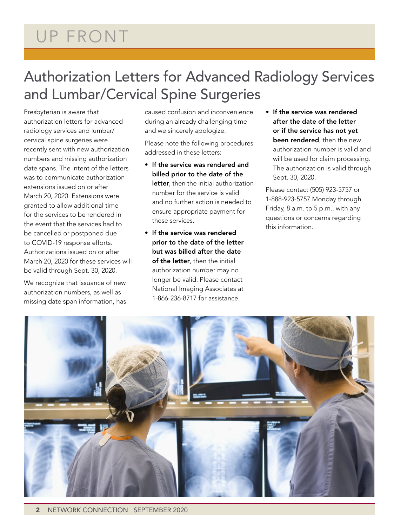# Authorization Letters for Advanced Radiology Services and Lumbar/Cervical Spine Surgeries

Presbyterian is aware that authorization letters for advanced radiology services and lumbar/ cervical spine surgeries were recently sent with new authorization numbers and missing authorization date spans. The intent of the letters was to communicate authorization extensions issued on or after March 20, 2020. Extensions were granted to allow additional time for the services to be rendered in the event that the services had to be cancelled or postponed due to COVID-19 response efforts. Authorizations issued on or after March 20, 2020 for these services will be valid through Sept. 30, 2020.

We recognize that issuance of new authorization numbers, as well as missing date span information, has caused confusion and inconvenience during an already challenging time and we sincerely apologize.

Please note the following procedures addressed in these letters:

- If the service was rendered and billed prior to the date of the letter, then the initial authorization number for the service is valid and no further action is needed to ensure appropriate payment for these services.
- If the service was rendered prior to the date of the letter but was billed after the date of the letter, then the initial authorization number may no longer be valid. Please contact National Imaging Associates at 1-866-236-8717 for assistance.
- If the service was rendered after the date of the letter or if the service has not yet been rendered, then the new authorization number is valid and will be used for claim processing. The authorization is valid through Sept. 30, 2020.

Please contact (505) 923-5757 or 1-888-923-5757 Monday through Friday, 8 a.m. to 5 p.m., with any questions or concerns regarding this information.

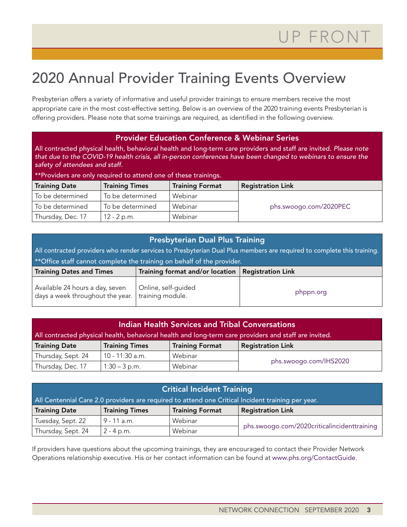# 2020 Annual Provider Training Events Overview

Presbyterian offers a variety of informative and useful provider trainings to ensure members receive the most appropriate care in the most cost-effective setting. Below is an overview of the 2020 training events Presbyterian is offering providers. Please note that some trainings are required, as identified in the following overview.

#### Provider Education Conference & Webinar Series

All contracted physical health, behavioral health and long-term care providers and staff are invited. *Please note that due to the COVID-19 health crisis, all in-person conferences have been changed to webinars to ensure the safety of attendees and staff.*

| **Providers are only required to attend one of these trainings. |                       |                          |                        |  |  |  |  |  |
|-----------------------------------------------------------------|-----------------------|--------------------------|------------------------|--|--|--|--|--|
| <b>Training Date</b>                                            | <b>Training Times</b> | <b>Registration Link</b> |                        |  |  |  |  |  |
| To be determined                                                | To be determined      | Webinar                  |                        |  |  |  |  |  |
| To be determined                                                | To be determined      | Webinar                  | phs.swoogo.com/2020PEC |  |  |  |  |  |
| Thursday, Dec. 17                                               | $12 - 2 p.m.$         | Webinar                  |                        |  |  |  |  |  |

### Presbyterian Dual Plus Training

All contracted providers who render services to Presbyterian Dual Plus members are required to complete this training. \*\*Office staff cannot complete the training on behalf of the provider.

| Training Dates and Times                                                                                     | Training format and/or location $\mid$ Registration Link |           |
|--------------------------------------------------------------------------------------------------------------|----------------------------------------------------------|-----------|
| Available 24 hours a day, seven   Online, self-guided<br>days a week throughout the year. I training module. |                                                          | phppn.org |

| Indian Health Services and Tribal Conversations                                                       |                 |         |  |  |  |  |  |  |
|-------------------------------------------------------------------------------------------------------|-----------------|---------|--|--|--|--|--|--|
| All contracted physical health, behavioral health and long-term care providers and staff are invited. |                 |         |  |  |  |  |  |  |
| <b>Training Format</b><br><b>Registration Link</b><br><b>Training Date</b><br><b>Training Times</b>   |                 |         |  |  |  |  |  |  |
| Thursday, Sept. 24                                                                                    | 10 - 11:30 a.m. | Webinar |  |  |  |  |  |  |
| phs.swoogo.com/IHS2020<br>Thursday, Dec. 17<br>Webinar<br>$1:30 - 3 p.m.$                             |                 |         |  |  |  |  |  |  |

| Critical Incident Training                                                                          |               |         |  |  |  |  |  |  |
|-----------------------------------------------------------------------------------------------------|---------------|---------|--|--|--|--|--|--|
| All Centennial Care 2.0 providers are required to attend one Critical Incident training per year.   |               |         |  |  |  |  |  |  |
| <b>Training Format</b><br><b>Registration Link</b><br><b>Training Date</b><br><b>Training Times</b> |               |         |  |  |  |  |  |  |
| Tuesday, Sept. 22                                                                                   | $9 - 11$ a.m. | Webinar |  |  |  |  |  |  |
| phs.swoogo.com/2020criticalincidenttraining<br>Thursday, Sept. 24<br>Webinar<br>$2 - 4$ p.m.        |               |         |  |  |  |  |  |  |

If providers have questions about the upcoming trainings, they are encouraged to contact their Provider Network Operations relationship executive. His or her contact information can be found at [www.phs.org/ContactGuide](http://www.phs.org/ContactGuide).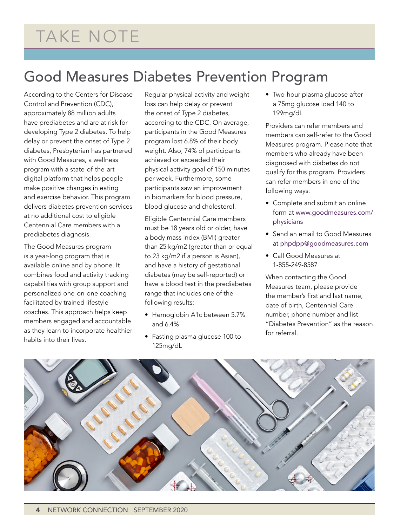# Good Measures Diabetes Prevention Program

According to the Centers for Disease Control and Prevention (CDC), approximately 88 million adults have prediabetes and are at risk for developing Type 2 diabetes. To help delay or prevent the onset of Type 2 diabetes, Presbyterian has partnered with Good Measures, a wellness program with a state-of-the-art digital platform that helps people make positive changes in eating and exercise behavior. This program delivers diabetes prevention services at no additional cost to eligible Centennial Care members with a prediabetes diagnosis.

The Good Measures program is a year-long program that is available online and by phone. It combines food and activity tracking capabilities with group support and personalized one-on-one coaching facilitated by trained lifestyle coaches. This approach helps keep members engaged and accountable as they learn to incorporate healthier habits into their lives.

Regular physical activity and weight loss can help delay or prevent the onset of Type 2 diabetes, according to the CDC. On average, participants in the Good Measures program lost 6.8% of their body weight. Also, 74% of participants achieved or exceeded their physical activity goal of 150 minutes per week. Furthermore, some participants saw an improvement in biomarkers for blood pressure, blood glucose and cholesterol.

Eligible Centennial Care members must be 18 years old or older, have a body mass index (BMI) greater than 25 kg/m2 (greater than or equal to 23 kg/m2 if a person is Asian), and have a history of gestational diabetes (may be self-reported) or have a blood test in the prediabetes range that includes one of the following results:

- Hemoglobin A1c between 5.7% and 6.4%
- Fasting plasma glucose 100 to 125mg/dL

• Two-hour plasma glucose after a 75mg glucose load 140 to 199mg/dL

Providers can refer members and members can self-refer to the Good Measures program. Please note that members who already have been diagnosed with diabetes do not qualify for this program. Providers can refer members in one of the following ways:

- Complete and submit an online form at [www.goodmeasures.com/](https://www.goodmeasures.com/physicians) [physicians](https://www.goodmeasures.com/physicians)
- Send an email to Good Measures at [phpdpp@goodmeasures.com](mailto:phpdpp@goodmeasures.com)
- Call Good Measures at 1-855-249-8587

When contacting the Good Measures team, please provide the member's first and last name, date of birth, Centennial Care number, phone number and list "Diabetes Prevention" as the reason for referral.

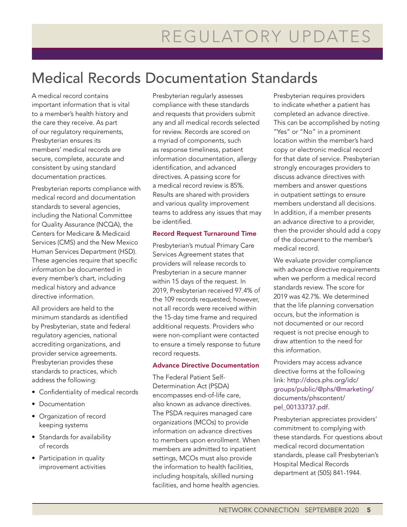# Medical Records Documentation Standards

A medical record contains important information that is vital to a member's health history and the care they receive. As part of our regulatory requirements, Presbyterian ensures its members' medical records are secure, complete, accurate and consistent by using standard documentation practices.

Presbyterian reports compliance with medical record and documentation standards to several agencies, including the National Committee for Quality Assurance (NCQA), the Centers for Medicare & Medicaid Services (CMS) and the New Mexico Human Services Department (HSD). These agencies require that specific information be documented in every member's chart, including medical history and advance directive information.

All providers are held to the minimum standards as identified by Presbyterian, state and federal regulatory agencies, national accrediting organizations, and provider service agreements. Presbyterian provides these standards to practices, which address the following:

- Confidentiality of medical records
- Documentation
- Organization of record keeping systems
- Standards for availability of records
- Participation in quality improvement activities

Presbyterian regularly assesses compliance with these standards and requests that providers submit any and all medical records selected for review. Records are scored on a myriad of components, such as response timeliness, patient information documentation, allergy identification, and advanced directives. A passing score for a medical record review is 85%. Results are shared with providers and various quality improvement teams to address any issues that may be identified.

#### Record Request Turnaround Time

Presbyterian's mutual Primary Care Services Agreement states that providers will release records to Presbyterian in a secure manner within 15 days of the request. In 2019, Presbyterian received 97.4% of the 109 records requested; however, not all records were received within the 15-day time frame and required additional requests. Providers who were non-compliant were contacted to ensure a timely response to future record requests.

#### Advance Directive Documentation

The Federal Patient Self-Determination Act (PSDA) encompasses end-of-life care, also known as advance directives. The PSDA requires managed care organizations (MCOs) to provide information on advance directives to members upon enrollment. When members are admitted to inpatient settings, MCOs must also provide the information to health facilities, including hospitals, skilled nursing facilities, and home health agencies.

Presbyterian requires providers to indicate whether a patient has completed an advance directive. This can be accomplished by noting "Yes" or "No" in a prominent location within the member's hard copy or electronic medical record for that date of service. Presbyterian strongly encourages providers to discuss advance directives with members and answer questions in outpatient settings to ensure members understand all decisions. In addition, if a member presents an advance directive to a provider, then the provider should add a copy of the document to the member's medical record.

We evaluate provider compliance with advance directive requirements when we perform a medical record standards review. The score for 2019 was 42.7%. We determined that the life planning conversation occurs, but the information is not documented or our record request is not precise enough to draw attention to the need for this information.

Providers may access advance directive forms at the following link: [http://docs.phs.org/idc/](http://docs.phs.org/idc/groups/public/@phs/@marketing/documents/phscontent/pel_00133737.pdf) [groups/public/@phs/@marketing/](http://docs.phs.org/idc/groups/public/@phs/@marketing/documents/phscontent/pel_00133737.pdf) [documents/phscontent/](http://docs.phs.org/idc/groups/public/@phs/@marketing/documents/phscontent/pel_00133737.pdf) [pel\\_00133737.pdf](http://docs.phs.org/idc/groups/public/@phs/@marketing/documents/phscontent/pel_00133737.pdf).

Presbyterian appreciates providers' commitment to complying with these standards. For questions about medical record documentation standards, please call Presbyterian's Hospital Medical Records department at (505) 841-1944.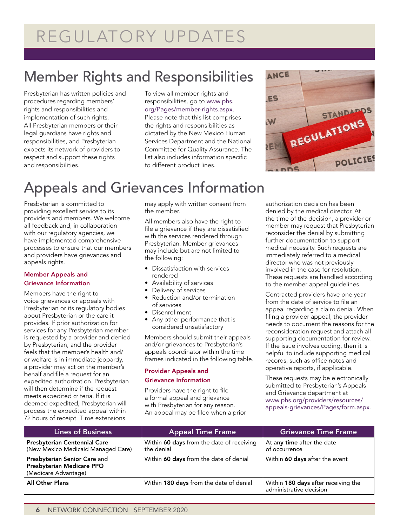# REGULATORY UPDATES

# Member Rights and Responsibilities

Presbyterian has written policies and procedures regarding members' rights and responsibilities and implementation of such rights. All Presbyterian members or their legal guardians have rights and responsibilities, and Presbyterian expects its network of providers to respect and support these rights and responsibilities.

To view all member rights and responsibilities, go to [www.phs.](http://www.phs.org/Pages/member-rights.aspx) [org/Pages/member-rights.aspx](http://www.phs.org/Pages/member-rights.aspx). Please note that this list comprises the rights and responsibilities as dictated by the New Mexico Human Services Department and the National Committee for Quality Assurance. The list also includes information specific to different product lines.



# Appeals and Grievances Information

Presbyterian is committed to providing excellent service to its providers and members. We welcome all feedback and, in collaboration with our regulatory agencies, we have implemented comprehensive processes to ensure that our members and providers have grievances and appeals rights.

#### Member Appeals and Grievance Information

Members have the right to voice grievances or appeals with Presbyterian or its regulatory bodies about Presbyterian or the care it provides. If prior authorization for services for any Presbyterian member is requested by a provider and denied by Presbyterian, and the provider feels that the member's health and/ or welfare is in immediate jeopardy, a provider may act on the member's behalf and file a request for an expedited authorization. Presbyterian will then determine if the request meets expedited criteria. If it is deemed expedited, Presbyterian will process the expedited appeal within 72 hours of receipt. Time extensions

may apply with written consent from the member.

All members also have the right to file a grievance if they are dissatisfied with the services rendered through Presbyterian. Member grievances may include but are not limited to the following:

- Dissatisfaction with services rendered
- Availability of services
- Delivery of services
- Reduction and/or termination of services
- Disenrollment
- Any other performance that is considered unsatisfactory

Members should submit their appeals and/or grievances to Presbyterian's appeals coordinator within the time frames indicated in the following table.

#### Provider Appeals and Grievance Information

Providers have the right to file a formal appeal and grievance with Presbyterian for any reason. An appeal may be filed when a prior authorization decision has been denied by the medical director. At the time of the decision, a provider or member may request that Presbyterian reconsider the denial by submitting further documentation to support medical necessity. Such requests are immediately referred to a medical director who was not previously involved in the case for resolution. These requests are handled according to the member appeal guidelines.

Contracted providers have one year from the date of service to file an appeal regarding a claim denial. When filing a provider appeal, the provider needs to document the reasons for the reconsideration request and attach all supporting documentation for review. If the issue involves coding, then it is helpful to include supporting medical records, such as office notes and operative reports, if applicable.

These requests may be electronically submitted to Presbyterian's Appeals and Grievance department at [www.phs.org/providers/resources/](https://www.phs.org/providers/resources/appeals-grievances/Pages/form.aspx) [appeals-grievances/Pages/form.aspx](https://www.phs.org/providers/resources/appeals-grievances/Pages/form.aspx).

| <b>Lines of Business</b>                                                          | <b>Appeal Time Frame</b>                                | <b>Grievance Time Frame</b>                                    |  |  |  |  |  |
|-----------------------------------------------------------------------------------|---------------------------------------------------------|----------------------------------------------------------------|--|--|--|--|--|
| <b>Presbyterian Centennial Care</b><br>(New Mexico Medicaid Managed Care)         | Within 60 days from the date of receiving<br>the denial | At any time after the date<br>of occurrence                    |  |  |  |  |  |
| Presbyterian Senior Care and<br>Presbyterian Medicare PPO<br>(Medicare Advantage) | Within 60 days from the date of denial                  | Within 60 days after the event                                 |  |  |  |  |  |
| <b>All Other Plans</b>                                                            | Within 180 days from the date of denial                 | Within 180 days after receiving the<br>administrative decision |  |  |  |  |  |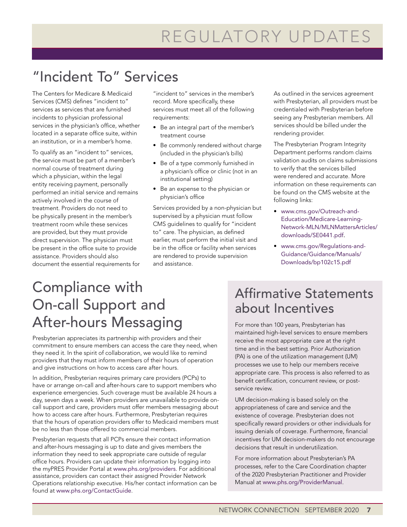# "Incident To" Services

The Centers for Medicare & Medicaid Services (CMS) defines "incident to" services as services that are furnished incidents to physician professional services in the physician's office, whether located in a separate office suite, within an institution, or in a member's home.

To qualify as an "incident to" services, the service must be part of a member's normal course of treatment during which a physician, within the legal entity receiving payment, personally performed an initial service and remains actively involved in the course of treatment. Providers do not need to be physically present in the member's treatment room while these services are provided, but they must provide direct supervision. The physician must be present in the office suite to provide assistance. Providers should also document the essential requirements for "incident to" services in the member's record. More specifically, these services must meet all of the following requirements:

- Be an integral part of the member's treatment course
- Be commonly rendered without charge (included in the physician's bills)
- Be of a type commonly furnished in a physician's office or clinic (not in an institutional setting)
- Be an expense to the physician or physician's office

Services provided by a non-physician but supervised by a physician must follow CMS guidelines to qualify for "incident to" care. The physician, as defined earlier, must perform the initial visit and be in the office or facility when services are rendered to provide supervision and assistance.

As outlined in the services agreement with Presbyterian, all providers must be credentialed with Presbyterian before seeing any Presbyterian members. All services should be billed under the rendering provider.

The Presbyterian Program Integrity Department performs random claims validation audits on claims submissions to verify that the services billed were rendered and accurate. More information on these requirements can be found on the CMS website at the following links:

- [www.cms.gov/Outreach-and-](http://www.cms.gov/Outreach-and-Education/Medicare-Learning-Network-MLN/MLNMattersArticles/downloads/SE0441.pdf)[Education/Medicare-Learning-](http://www.cms.gov/Outreach-and-Education/Medicare-Learning-Network-MLN/MLNMattersArticles/downloads/SE0441.pdf)[Network-MLN/MLNMattersArticles/](http://www.cms.gov/Outreach-and-Education/Medicare-Learning-Network-MLN/MLNMattersArticles/downloads/SE0441.pdf) [downloads/SE0441.pdf](http://www.cms.gov/Outreach-and-Education/Medicare-Learning-Network-MLN/MLNMattersArticles/downloads/SE0441.pdf).
- [www.cms.gov/Regulations-and-](https://www.cms.gov/Regulations-and-Guidance/Guidance/Manuals/Downloads/bp102c15.pdf)[Guidance/Guidance/Manuals/](https://www.cms.gov/Regulations-and-Guidance/Guidance/Manuals/Downloads/bp102c15.pdf) [Downloads/bp102c15.pdf](https://www.cms.gov/Regulations-and-Guidance/Guidance/Manuals/Downloads/bp102c15.pdf)

# Compliance with On-call Support and After-hours Messaging

Presbyterian appreciates its partnership with providers and their commitment to ensure members can access the care they need, when they need it. In the spirit of collaboration, we would like to remind providers that they must inform members of their hours of operation and give instructions on how to access care after hours.

In addition, Presbyterian requires primary care providers (PCPs) to have or arrange on-call and after-hours care to support members who experience emergencies. Such coverage must be available 24 hours a day, seven days a week. When providers are unavailable to provide oncall support and care, providers must offer members messaging about how to access care after hours. Furthermore, Presbyterian requires that the hours of operation providers offer to Medicaid members must be no less than those offered to commercial members.

Presbyterian requests that all PCPs ensure their contact information and after-hours messaging is up to date and gives members the information they need to seek appropriate care outside of regular office hours. Providers can update their information by logging into the myPRES Provider Portal at [www.phs.org/providers](http://www.phs.org/providers). For additional assistance, providers can contact their assigned Provider Network Operations relationship executive. His/her contact information can be found at [www.phs.org/ContactGuide](http://www.phs.org/ContactGuide).

## Affirmative Statements about Incentives

For more than 100 years, Presbyterian has maintained high-level services to ensure members receive the most appropriate care at the right time and in the best setting. Prior Authorization (PA) is one of the utilization management (UM) processes we use to help our members receive appropriate care. This process is also referred to as benefit certification, concurrent review, or postservice review.

UM decision-making is based solely on the appropriateness of care and service and the existence of coverage. Presbyterian does not specifically reward providers or other individuals for issuing denials of coverage. Furthermore, financial incentives for UM decision-makers do not encourage decisions that result in underutilization.

For more information about Presbyterian's PA processes, refer to the Care Coordination chapter of the 2020 Presbyterian Practitioner and Provider Manual at [www.phs.org/ProviderManual](http://www.phs.org/ProviderManual).